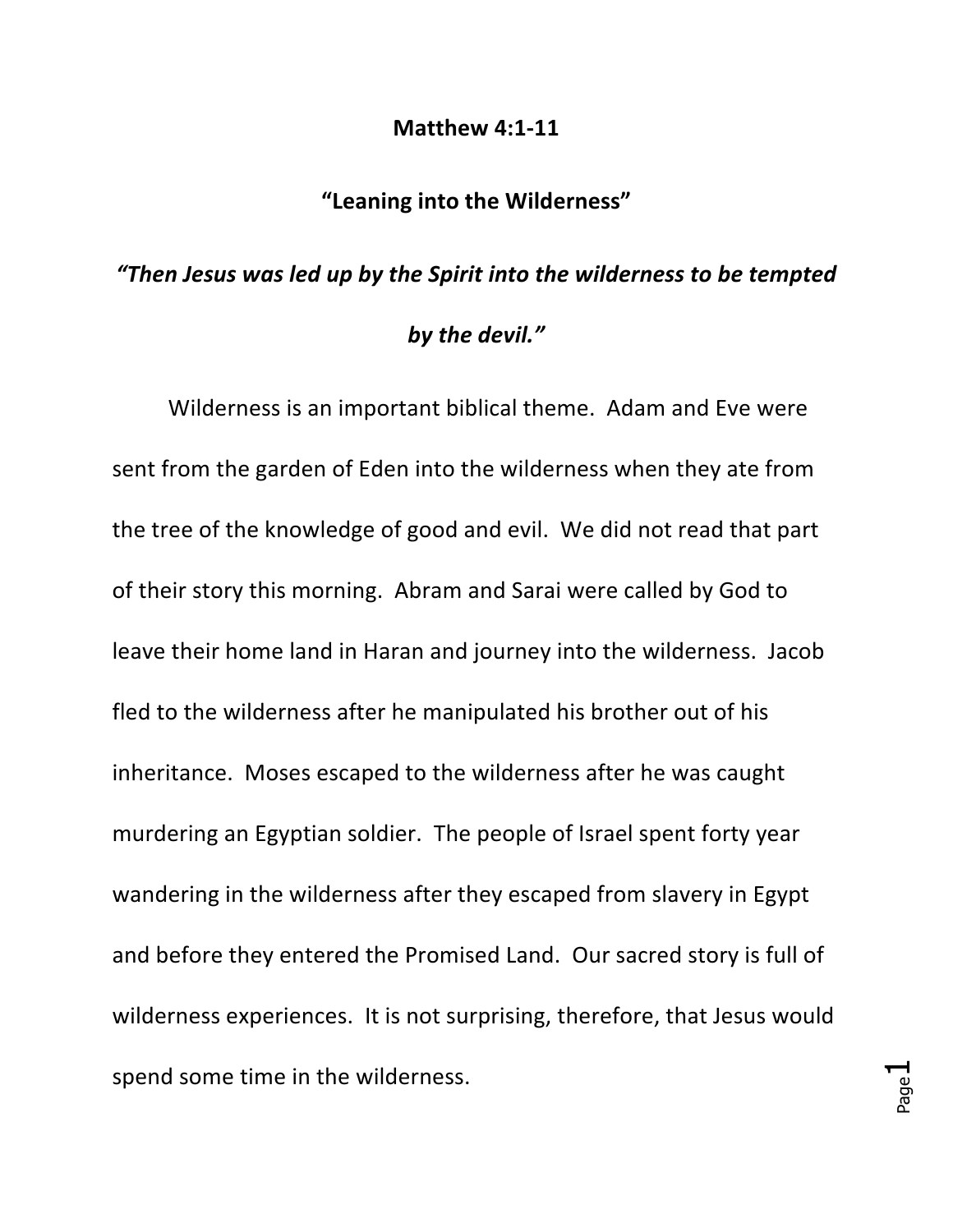## **Matthew 4:1-11**

## "Leaning into the Wilderness"

## "Then Jesus was led up by the Spirit into the wilderness to be tempted *by the devil."*

Wilderness is an important biblical theme. Adam and Eve were sent from the garden of Eden into the wilderness when they ate from the tree of the knowledge of good and evil. We did not read that part of their story this morning. Abram and Sarai were called by God to leave their home land in Haran and journey into the wilderness. Jacob fled to the wilderness after he manipulated his brother out of his inheritance. Moses escaped to the wilderness after he was caught murdering an Egyptian soldier. The people of Israel spent forty year wandering in the wilderness after they escaped from slavery in Egypt and before they entered the Promised Land. Our sacred story is full of wilderness experiences. It is not surprising, therefore, that Jesus would spend some time in the wilderness.

Page  $\overline{\phantom{0}}$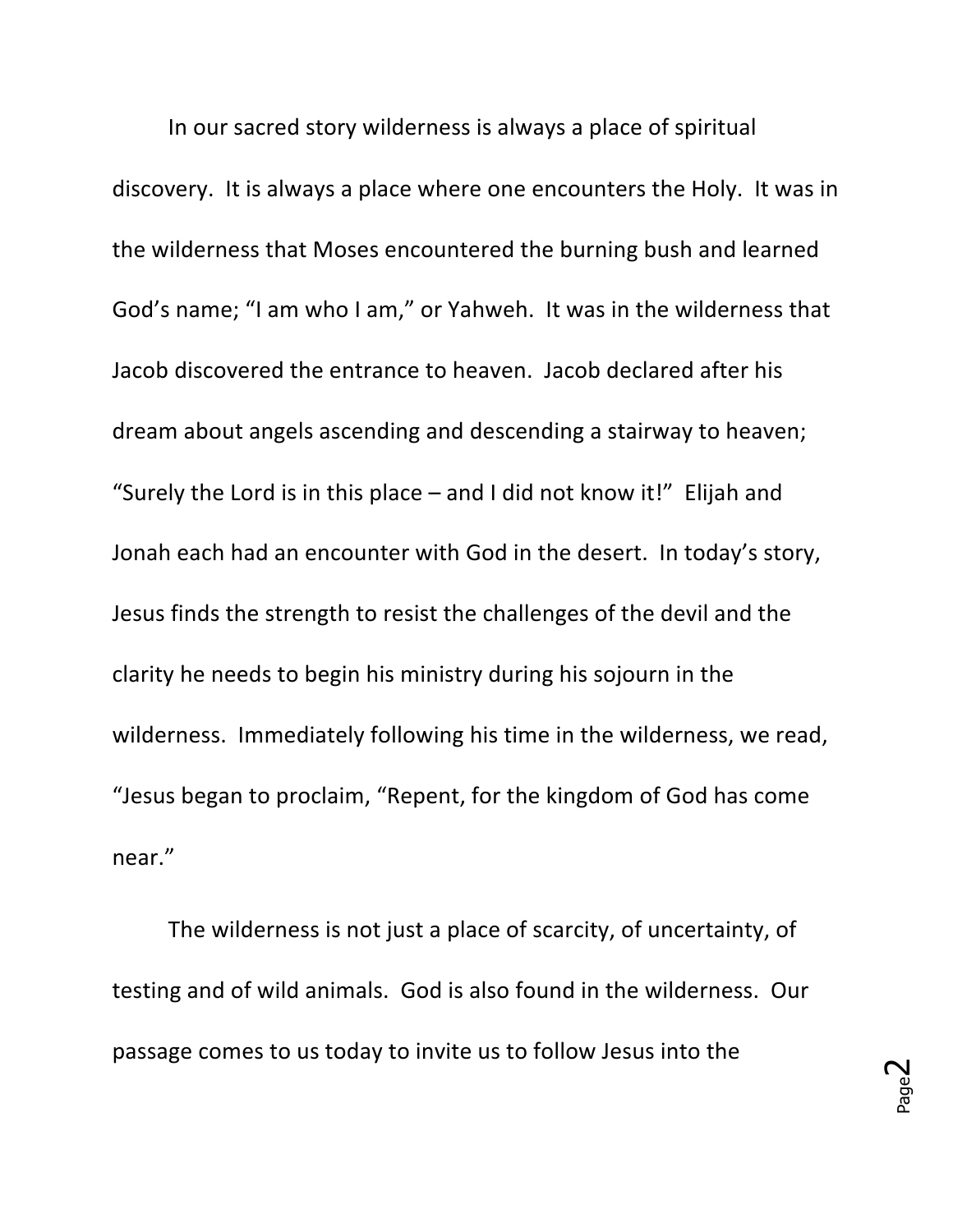In our sacred story wilderness is always a place of spiritual discovery. It is always a place where one encounters the Holy. It was in the wilderness that Moses encountered the burning bush and learned God's name; "I am who I am," or Yahweh. It was in the wilderness that Jacob discovered the entrance to heaven. Jacob declared after his dream about angels ascending and descending a stairway to heaven; "Surely the Lord is in this place  $-$  and I did not know it!" Elijah and Jonah each had an encounter with God in the desert. In today's story, Jesus finds the strength to resist the challenges of the devil and the clarity he needs to begin his ministry during his sojourn in the wilderness. Immediately following his time in the wilderness, we read, "Jesus began to proclaim, "Repent, for the kingdom of God has come near." 

The wilderness is not just a place of scarcity, of uncertainty, of testing and of wild animals. God is also found in the wilderness. Our passage comes to us today to invite us to follow Jesus into the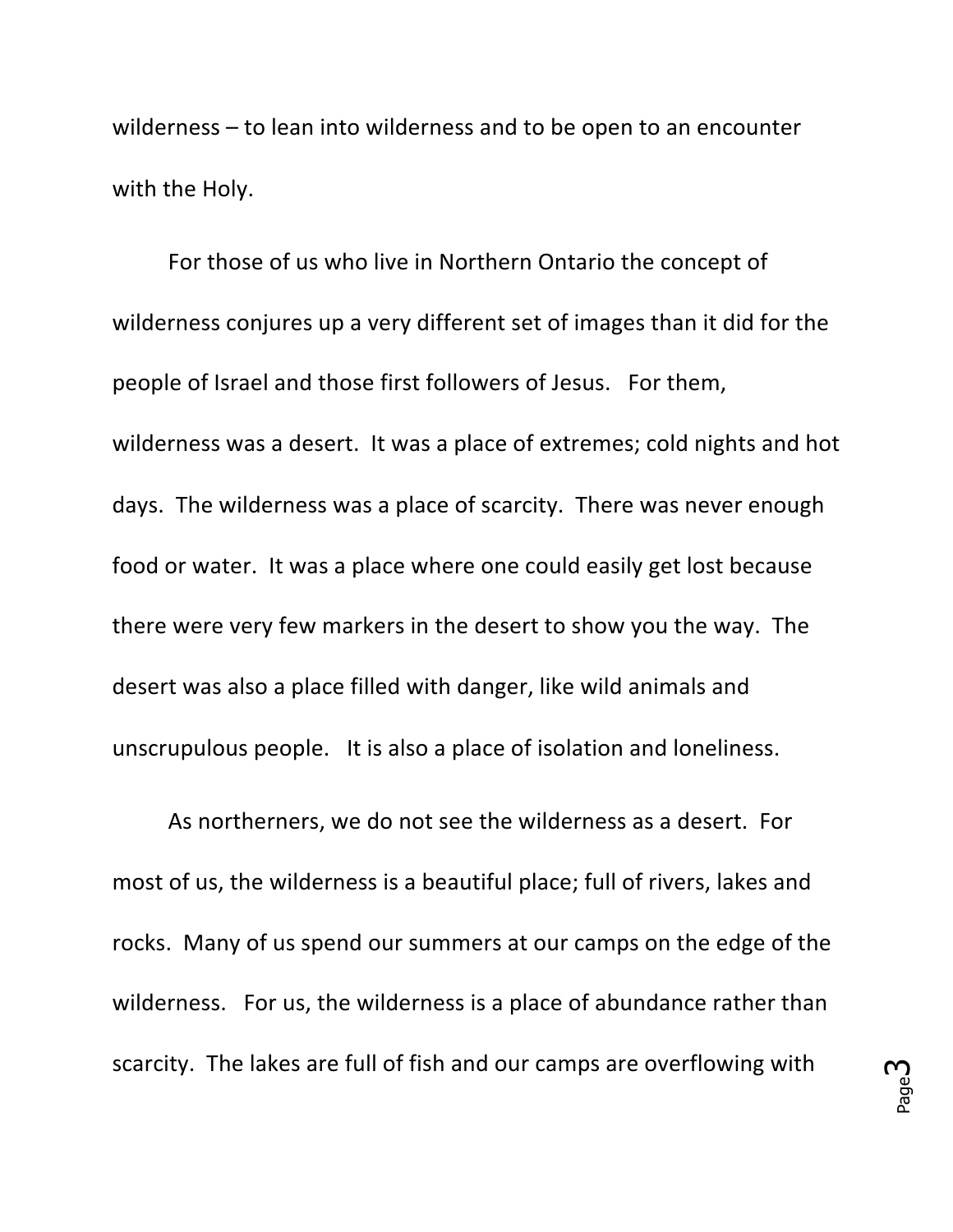wilderness  $-$  to lean into wilderness and to be open to an encounter with the Holy.

For those of us who live in Northern Ontario the concept of wilderness conjures up a very different set of images than it did for the people of Israel and those first followers of Jesus. For them, wilderness was a desert. It was a place of extremes; cold nights and hot days. The wilderness was a place of scarcity. There was never enough food or water. It was a place where one could easily get lost because there were very few markers in the desert to show you the way. The desert was also a place filled with danger, like wild animals and unscrupulous people. It is also a place of isolation and loneliness.

As northerners, we do not see the wilderness as a desert. For most of us, the wilderness is a beautiful place; full of rivers, lakes and rocks. Many of us spend our summers at our camps on the edge of the wilderness. For us, the wilderness is a place of abundance rather than scarcity. The lakes are full of fish and our camps are overflowing with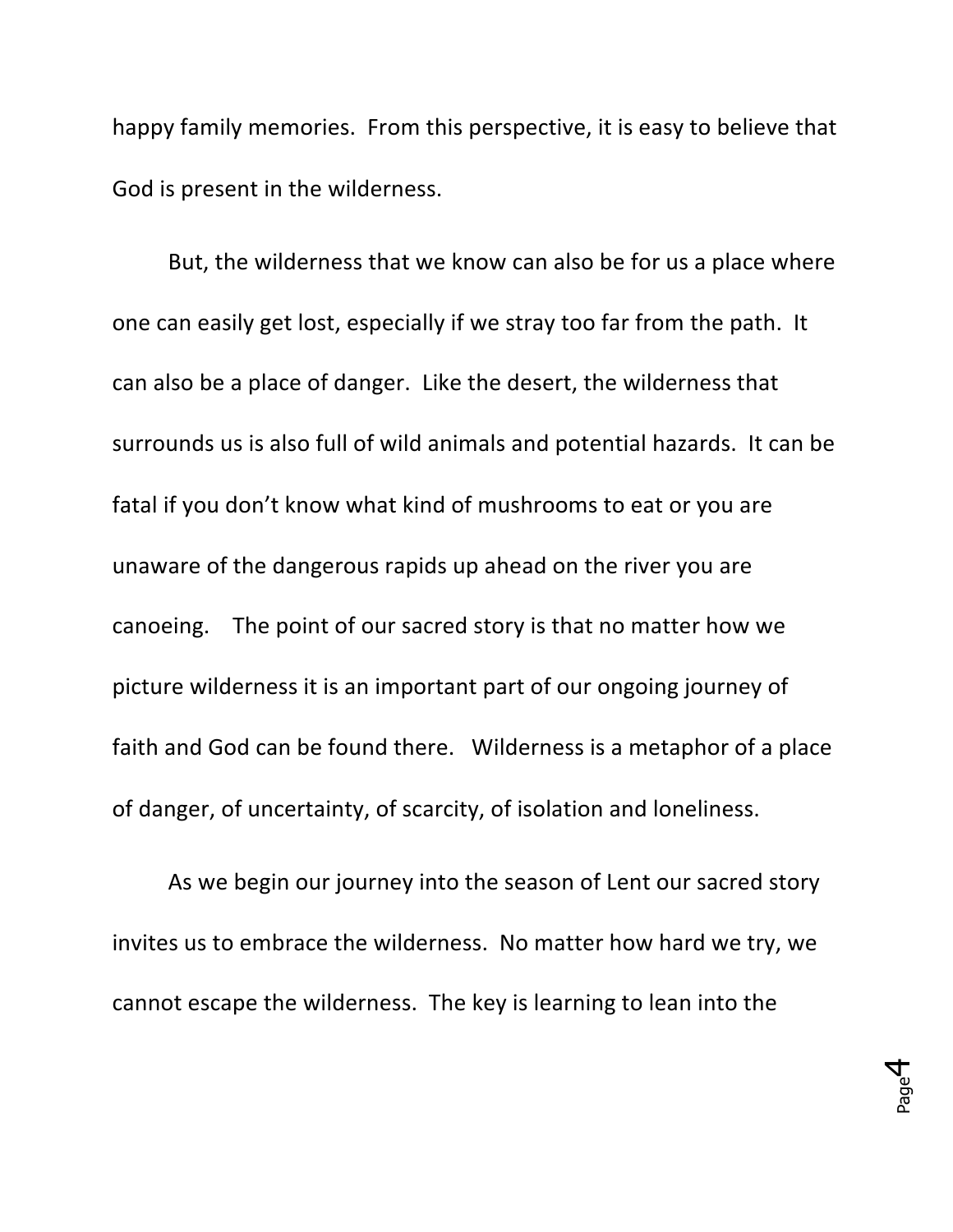happy family memories. From this perspective, it is easy to believe that God is present in the wilderness.

But, the wilderness that we know can also be for us a place where one can easily get lost, especially if we stray too far from the path. It can also be a place of danger. Like the desert, the wilderness that surrounds us is also full of wild animals and potential hazards. It can be fatal if you don't know what kind of mushrooms to eat or you are unaware of the dangerous rapids up ahead on the river you are canoeing. The point of our sacred story is that no matter how we picture wilderness it is an important part of our ongoing journey of faith and God can be found there. Wilderness is a metaphor of a place of danger, of uncertainty, of scarcity, of isolation and loneliness.

As we begin our journey into the season of Lent our sacred story invites us to embrace the wilderness. No matter how hard we try, we cannot escape the wilderness. The key is learning to lean into the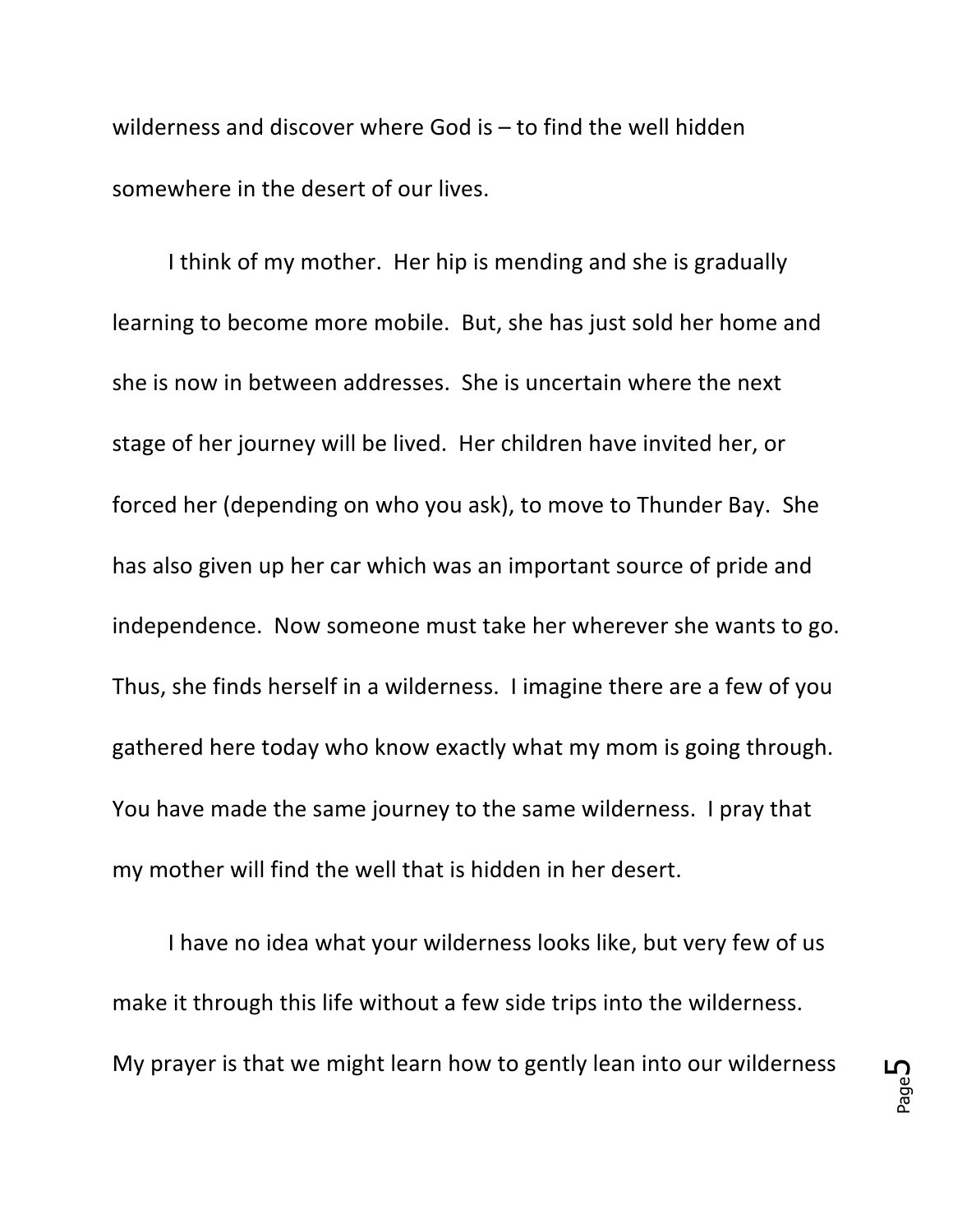wilderness and discover where God is  $-$  to find the well hidden somewhere in the desert of our lives.

I think of my mother. Her hip is mending and she is gradually learning to become more mobile. But, she has just sold her home and she is now in between addresses. She is uncertain where the next stage of her journey will be lived. Her children have invited her, or forced her (depending on who you ask), to move to Thunder Bay. She has also given up her car which was an important source of pride and independence. Now someone must take her wherever she wants to go. Thus, she finds herself in a wilderness. I imagine there are a few of you gathered here today who know exactly what my mom is going through. You have made the same journey to the same wilderness. I pray that my mother will find the well that is hidden in her desert.

I have no idea what your wilderness looks like, but very few of us make it through this life without a few side trips into the wilderness. My prayer is that we might learn how to gently lean into our wilderness